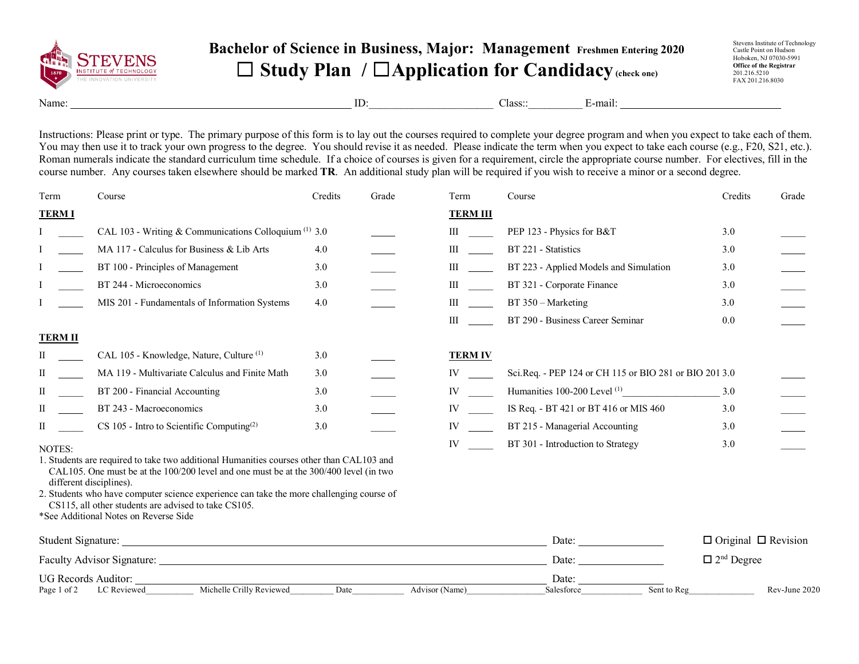

## **Bachelor of Science in Business, Major: Management Freshmen Entering 2020** ☐ **Study Plan /** ☐**Application for Candidacy(check one)**

Stevens Institute of Technology Castle Point on Hudson Hoboken, NJ 07030-5991 **Office of the Registrar** 201.216.5210 FAX 201.216.8030

Name: E-mail: E-mail: ID: Class: E-mail:

Instructions: Please print or type. The primary purpose of this form is to lay out the courses required to complete your degree program and when you expect to take each of them. You may then use it to track your own progress to the degree. You should revise it as needed. Please indicate the term when you expect to take each course (e.g., F20, S21, etc.). Roman numerals indicate the standard curriculum time schedule. If a choice of courses is given for a requirement, circle the appropriate course number. For electives, fill in the course number. Any courses taken elsewhere should be marked **TR**. An additional study plan will be required if you wish to receive a minor or a second degree.

| Term           | Course                                                                                                                                                                                | Credits | Grade          | Term                                                                                                                                                                                                                           | Course                                                 | Credits                         | Grade         |
|----------------|---------------------------------------------------------------------------------------------------------------------------------------------------------------------------------------|---------|----------------|--------------------------------------------------------------------------------------------------------------------------------------------------------------------------------------------------------------------------------|--------------------------------------------------------|---------------------------------|---------------|
| <b>TERMI</b>   |                                                                                                                                                                                       |         |                | <b>TERM III</b>                                                                                                                                                                                                                |                                                        |                                 |               |
|                | CAL 103 - Writing & Communications Colloquium $(1)$ 3.0                                                                                                                               |         |                | III                                                                                                                                                                                                                            | PEP 123 - Physics for B&T                              | 3.0                             |               |
|                | MA 117 - Calculus for Business & Lib Arts                                                                                                                                             | 4.0     |                | $\mathbf{III}$                                                                                                                                                                                                                 | BT 221 - Statistics                                    | 3.0                             |               |
|                | BT 100 - Principles of Management                                                                                                                                                     | 3.0     |                | $\mathbf{III}$                                                                                                                                                                                                                 | BT 223 - Applied Models and Simulation                 | 3.0                             |               |
|                | BT 244 - Microeconomics                                                                                                                                                               | 3.0     |                | III                                                                                                                                                                                                                            | BT 321 - Corporate Finance                             | 3.0                             |               |
|                | MIS 201 - Fundamentals of Information Systems                                                                                                                                         | 4.0     |                | $\mathbf{III}$                                                                                                                                                                                                                 | BT 350 - Marketing                                     | 3.0                             |               |
|                |                                                                                                                                                                                       |         |                | $\mathbf{III}$                                                                                                                                                                                                                 | BT 290 - Business Career Seminar                       | 0.0                             |               |
| <b>TERM II</b> |                                                                                                                                                                                       |         |                |                                                                                                                                                                                                                                |                                                        |                                 |               |
| П              | CAL 105 - Knowledge, Nature, Culture <sup>(1)</sup>                                                                                                                                   | 3.0     |                | <b>TERM IV</b>                                                                                                                                                                                                                 |                                                        |                                 |               |
| П              | MA 119 - Multivariate Calculus and Finite Math                                                                                                                                        | 3.0     |                | IV and the set of the set of the set of the set of the set of the set of the set of the set of the set of the set of the set of the set of the set of the set of the set of the set of the set of the set of the set of the se | Sci.Req. - PEP 124 or CH 115 or BIO 281 or BIO 201 3.0 |                                 |               |
| П              | BT 200 - Financial Accounting                                                                                                                                                         | 3.0     |                | IV and the set of the set of the set of the set of the set of the set of the set of the set of the set of the set of the set of the set of the set of the set of the set of the set of the set of the set of the set of the se | Humanities 100-200 Level <sup>(1)</sup>                | 3.0                             |               |
| П              | BT 243 - Macroeconomics                                                                                                                                                               | 3.0     |                | IV and the set of the set of the set of the set of the set of the set of the set of the set of the set of the set of the set of the set of the set of the set of the set of the set of the set of the set of the set of the se | IS Req. - BT 421 or BT 416 or MIS 460                  | 3.0                             |               |
| П              | $CS$ 105 - Intro to Scientific Computing <sup>(2)</sup>                                                                                                                               | 3.0     |                | IV                                                                                                                                                                                                                             | BT 215 - Managerial Accounting                         | 3.0                             |               |
| NOTES:         |                                                                                                                                                                                       |         |                | IV                                                                                                                                                                                                                             | BT 301 - Introduction to Strategy                      | 3.0                             |               |
|                | 1. Students are required to take two additional Humanities courses other than CAL103 and<br>CAL105. One must be at the $100/200$ level and one must be at the $300/400$ level (in two |         |                |                                                                                                                                                                                                                                |                                                        |                                 |               |
|                | different disciplines).                                                                                                                                                               |         |                |                                                                                                                                                                                                                                |                                                        |                                 |               |
|                | 2. Students who have computer science experience can take the more challenging course of<br>CS115, all other students are advised to take CS105.                                      |         |                |                                                                                                                                                                                                                                |                                                        |                                 |               |
|                | *See Additional Notes on Reverse Side                                                                                                                                                 |         |                |                                                                                                                                                                                                                                |                                                        |                                 |               |
|                |                                                                                                                                                                                       |         |                |                                                                                                                                                                                                                                | Date:                                                  | $\Box$ Original $\Box$ Revision |               |
|                |                                                                                                                                                                                       |         | Date:          |                                                                                                                                                                                                                                | $\Box$ 2 <sup>nd</sup> Degree                          |                                 |               |
|                | <b>UG Records Auditor:</b>                                                                                                                                                            |         |                |                                                                                                                                                                                                                                | Date:                                                  |                                 |               |
|                | Michelle Crilly Reviewed<br>Page 1 of 2 LC Reviewed                                                                                                                                   | Date    | Advisor (Name) |                                                                                                                                                                                                                                | Sent to Reg<br>Salesforce                              |                                 | Rev-June 2020 |